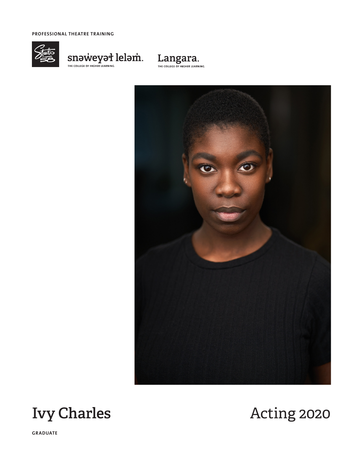**PROFESSIONAL THEATRE TRAINING**



 $\underset{\tiny{\text{THE COLLEG OF HICHER LEARNING.}}{\text{THE COLLEG OF HICHER LEARNING.}}} {\text{SIN-DWCCN-PSI}}\ \underset{\tiny{\text{CHICINING.}}}{\text{leb} \\\text{D}}$ 









**GRADUATE**